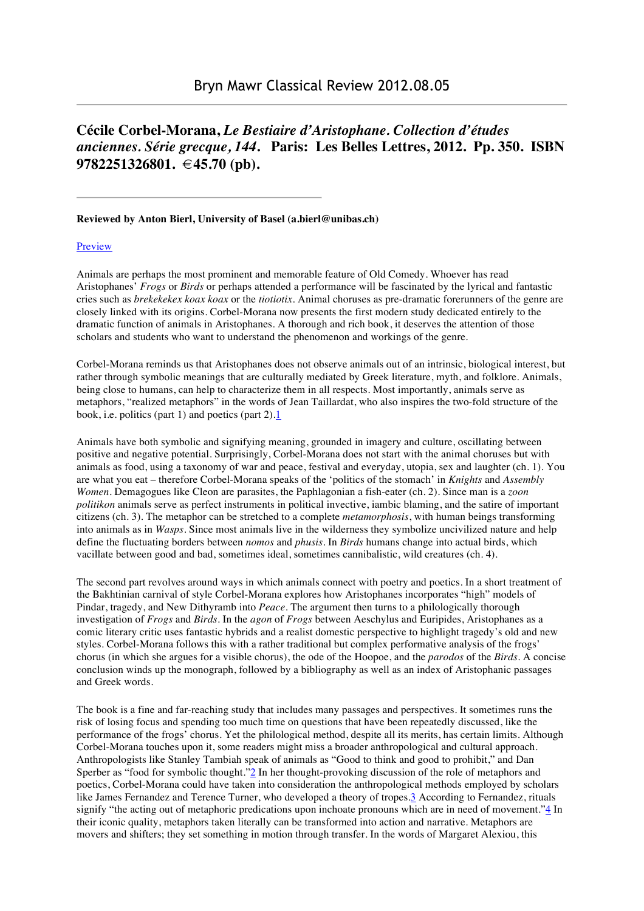## **Cécile Corbel-Morana,** *Le Bestiaire d'Aristophane. Collection d'études anciennes. Série grecque, 144***. Paris: Les Belles Lettres, 2012. Pp. 350. ISBN 9782251326801. €45.70 (pb).**

## **Reviewed by Anton Bierl, University of Basel (a.bierl@unibas.ch)**

## Preview

Animals are perhaps the most prominent and memorable feature of Old Comedy. Whoever has read Aristophanes' *Frogs* or *Birds* or perhaps attended a performance will be fascinated by the lyrical and fantastic cries such as *brekekekex koax koax* or the *tiotiotix*. Animal choruses as pre-dramatic forerunners of the genre are closely linked with its origins. Corbel-Morana now presents the first modern study dedicated entirely to the dramatic function of animals in Aristophanes. A thorough and rich book, it deserves the attention of those scholars and students who want to understand the phenomenon and workings of the genre.

Corbel-Morana reminds us that Aristophanes does not observe animals out of an intrinsic, biological interest, but rather through symbolic meanings that are culturally mediated by Greek literature, myth, and folklore. Animals, being close to humans, can help to characterize them in all respects. Most importantly, animals serve as metaphors, "realized metaphors" in the words of Jean Taillardat, who also inspires the two-fold structure of the book, i.e. politics (part 1) and poetics (part 2).1

Animals have both symbolic and signifying meaning, grounded in imagery and culture, oscillating between positive and negative potential. Surprisingly, Corbel-Morana does not start with the animal choruses but with animals as food, using a taxonomy of war and peace, festival and everyday, utopia, sex and laughter (ch. 1). You are what you eat – therefore Corbel-Morana speaks of the 'politics of the stomach' in *Knights* and *Assembly Women*. Demagogues like Cleon are parasites, the Paphlagonian a fish-eater (ch. 2). Since man is a *zoon politikon* animals serve as perfect instruments in political invective, iambic blaming, and the satire of important citizens (ch. 3). The metaphor can be stretched to a complete *metamorphosis*, with human beings transforming into animals as in *Wasps*. Since most animals live in the wilderness they symbolize uncivilized nature and help define the fluctuating borders between *nomos* and *phusis*. In *Birds* humans change into actual birds, which vacillate between good and bad, sometimes ideal, sometimes cannibalistic, wild creatures (ch. 4).

The second part revolves around ways in which animals connect with poetry and poetics. In a short treatment of the Bakhtinian carnival of style Corbel-Morana explores how Aristophanes incorporates "high" models of Pindar, tragedy, and New Dithyramb into *Peace*. The argument then turns to a philologically thorough investigation of *Frogs* and *Birds*. In the *agon* of *Frogs* between Aeschylus and Euripides, Aristophanes as a comic literary critic uses fantastic hybrids and a realist domestic perspective to highlight tragedy's old and new styles. Corbel-Morana follows this with a rather traditional but complex performative analysis of the frogs' chorus (in which she argues for a visible chorus), the ode of the Hoopoe, and the *parodos* of the *Birds*. A concise conclusion winds up the monograph, followed by a bibliography as well as an index of Aristophanic passages and Greek words.

The book is a fine and far-reaching study that includes many passages and perspectives. It sometimes runs the risk of losing focus and spending too much time on questions that have been repeatedly discussed, like the performance of the frogs' chorus. Yet the philological method, despite all its merits, has certain limits. Although Corbel-Morana touches upon it, some readers might miss a broader anthropological and cultural approach. Anthropologists like Stanley Tambiah speak of animals as "Good to think and good to prohibit," and Dan Sperber as "food for symbolic thought."<sup>2</sup> In her thought-provoking discussion of the role of metaphors and poetics, Corbel-Morana could have taken into consideration the anthropological methods employed by scholars like James Fernandez and Terence Turner, who developed a theory of tropes.3 According to Fernandez, rituals signify "the acting out of metaphoric predications upon inchoate pronouns which are in need of movement."4 In their iconic quality, metaphors taken literally can be transformed into action and narrative. Metaphors are movers and shifters; they set something in motion through transfer. In the words of Margaret Alexiou, this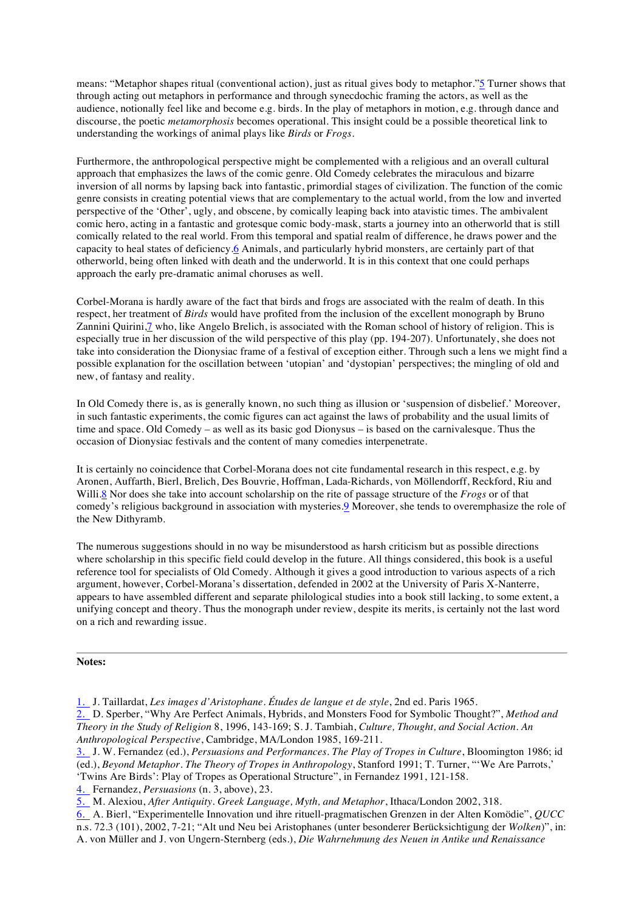means: "Metaphor shapes ritual (conventional action), just as ritual gives body to metaphor."5 Turner shows that through acting out metaphors in performance and through synecdochic framing the actors, as well as the audience, notionally feel like and become e.g. birds. In the play of metaphors in motion, e.g. through dance and discourse, the poetic *metamorphosis* becomes operational. This insight could be a possible theoretical link to understanding the workings of animal plays like *Birds* or *Frogs*.

Furthermore, the anthropological perspective might be complemented with a religious and an overall cultural approach that emphasizes the laws of the comic genre. Old Comedy celebrates the miraculous and bizarre inversion of all norms by lapsing back into fantastic, primordial stages of civilization. The function of the comic genre consists in creating potential views that are complementary to the actual world, from the low and inverted perspective of the 'Other', ugly, and obscene, by comically leaping back into atavistic times. The ambivalent comic hero, acting in a fantastic and grotesque comic body-mask, starts a journey into an otherworld that is still comically related to the real world. From this temporal and spatial realm of difference, he draws power and the capacity to heal states of deficiency.6 Animals, and particularly hybrid monsters, are certainly part of that otherworld, being often linked with death and the underworld. It is in this context that one could perhaps approach the early pre-dramatic animal choruses as well.

Corbel-Morana is hardly aware of the fact that birds and frogs are associated with the realm of death. In this respect, her treatment of *Birds* would have profited from the inclusion of the excellent monograph by Bruno Zannini Quirini,7 who, like Angelo Brelich, is associated with the Roman school of history of religion. This is especially true in her discussion of the wild perspective of this play (pp. 194-207). Unfortunately, she does not take into consideration the Dionysiac frame of a festival of exception either. Through such a lens we might find a possible explanation for the oscillation between 'utopian' and 'dystopian' perspectives; the mingling of old and new, of fantasy and reality.

In Old Comedy there is, as is generally known, no such thing as illusion or 'suspension of disbelief.' Moreover, in such fantastic experiments, the comic figures can act against the laws of probability and the usual limits of time and space. Old Comedy – as well as its basic god Dionysus – is based on the carnivalesque. Thus the occasion of Dionysiac festivals and the content of many comedies interpenetrate.

It is certainly no coincidence that Corbel-Morana does not cite fundamental research in this respect, e.g. by Aronen, Auffarth, Bierl, Brelich, Des Bouvrie, Hoffman, Lada-Richards, von Möllendorff, Reckford, Riu and Willi.8 Nor does she take into account scholarship on the rite of passage structure of the *Frogs* or of that comedy's religious background in association with mysteries.9 Moreover, she tends to overemphasize the role of the New Dithyramb.

The numerous suggestions should in no way be misunderstood as harsh criticism but as possible directions where scholarship in this specific field could develop in the future. All things considered, this book is a useful reference tool for specialists of Old Comedy. Although it gives a good introduction to various aspects of a rich argument, however, Corbel-Morana's dissertation, defended in 2002 at the University of Paris X-Nanterre, appears to have assembled different and separate philological studies into a book still lacking, to some extent, a unifying concept and theory. Thus the monograph under review, despite its merits, is certainly not the last word on a rich and rewarding issue.

## **Notes:**

1. J. Taillardat, *Les images d'Aristophane. Études de langue et de style*, 2nd ed. Paris 1965.

2. D. Sperber, "Why Are Perfect Animals, Hybrids, and Monsters Food for Symbolic Thought?", *Method and Theory in the Study of Religion* 8, 1996, 143-169; S. J. Tambiah, *Culture, Thought, and Social Action. An Anthropological Perspective*, Cambridge, MA/London 1985, 169-211.

- 3. J. W. Fernandez (ed.), *Persuasions and Performances. The Play of Tropes in Culture*, Bloomington 1986; id (ed.), *Beyond Metaphor. The Theory of Tropes in Anthropology*, Stanford 1991; T. Turner, "'We Are Parrots,' 'Twins Are Birds': Play of Tropes as Operational Structure", in Fernandez 1991, 121-158.
- 4. Fernandez, *Persuasions* (n. 3, above), 23.
- 5. M. Alexiou, *After Antiquity. Greek Language, Myth, and Metaphor*, Ithaca/London 2002, 318.

6. A. Bierl, "Experimentelle Innovation und ihre rituell-pragmatischen Grenzen in der Alten Komödie", *QUCC* n.s. 72.3 (101), 2002, 7-21; "Alt und Neu bei Aristophanes (unter besonderer Berücksichtigung der *Wolken*)", in: A. von Müller and J. von Ungern-Sternberg (eds.), *Die Wahrnehmung des Neuen in Antike und Renaissance*